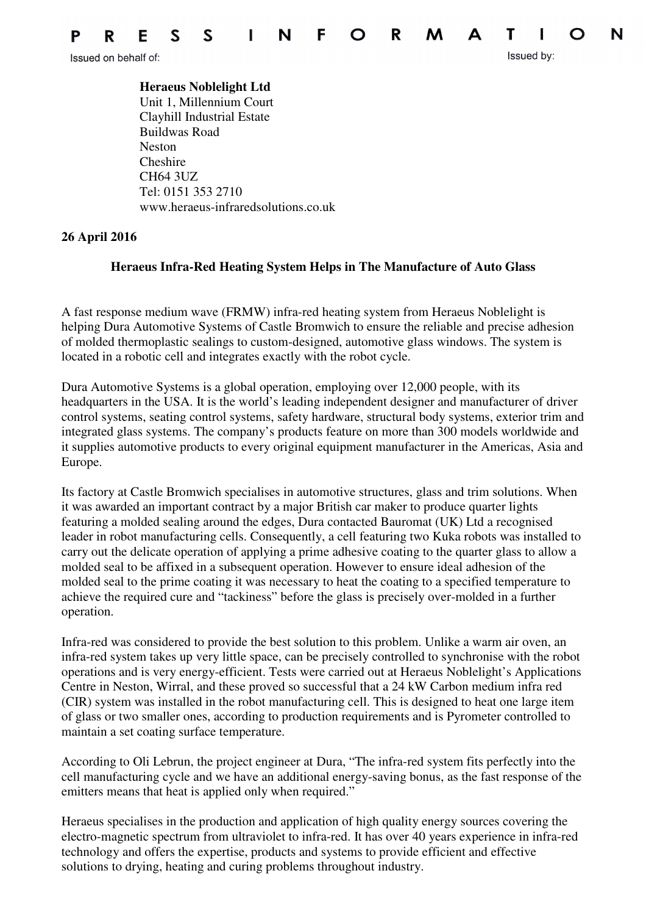

Issued by:

Issued on behalf of:

 **Heraeus Noblelight Ltd** Unit 1, Millennium Court Clayhill Industrial Estate Buildwas Road Neston Cheshire CH64 3UZ Tel: 0151 353 2710 www.heraeus-infraredsolutions.co.uk

## **26 April 2016**

## **Heraeus Infra-Red Heating System Helps in The Manufacture of Auto Glass**

A fast response medium wave (FRMW) infra-red heating system from Heraeus Noblelight is helping Dura Automotive Systems of Castle Bromwich to ensure the reliable and precise adhesion of molded thermoplastic sealings to custom-designed, automotive glass windows. The system is located in a robotic cell and integrates exactly with the robot cycle.

Dura Automotive Systems is a global operation, employing over 12,000 people, with its headquarters in the USA. It is the world's leading independent designer and manufacturer of driver control systems, seating control systems, safety hardware, structural body systems, exterior trim and integrated glass systems. The company's products feature on more than 300 models worldwide and it supplies automotive products to every original equipment manufacturer in the Americas, Asia and Europe.

Its factory at Castle Bromwich specialises in automotive structures, glass and trim solutions. When it was awarded an important contract by a major British car maker to produce quarter lights featuring a molded sealing around the edges, Dura contacted Bauromat (UK) Ltd a recognised leader in robot manufacturing cells. Consequently, a cell featuring two Kuka robots was installed to carry out the delicate operation of applying a prime adhesive coating to the quarter glass to allow a molded seal to be affixed in a subsequent operation. However to ensure ideal adhesion of the molded seal to the prime coating it was necessary to heat the coating to a specified temperature to achieve the required cure and "tackiness" before the glass is precisely over-molded in a further operation.

Infra-red was considered to provide the best solution to this problem. Unlike a warm air oven, an infra-red system takes up very little space, can be precisely controlled to synchronise with the robot operations and is very energy-efficient. Tests were carried out at Heraeus Noblelight's Applications Centre in Neston, Wirral, and these proved so successful that a 24 kW Carbon medium infra red (CIR) system was installed in the robot manufacturing cell. This is designed to heat one large item of glass or two smaller ones, according to production requirements and is Pyrometer controlled to maintain a set coating surface temperature.

According to Oli Lebrun, the project engineer at Dura, "The infra-red system fits perfectly into the cell manufacturing cycle and we have an additional energy-saving bonus, as the fast response of the emitters means that heat is applied only when required."

Heraeus specialises in the production and application of high quality energy sources covering the electro-magnetic spectrum from ultraviolet to infra-red. It has over 40 years experience in infra-red technology and offers the expertise, products and systems to provide efficient and effective solutions to drying, heating and curing problems throughout industry.